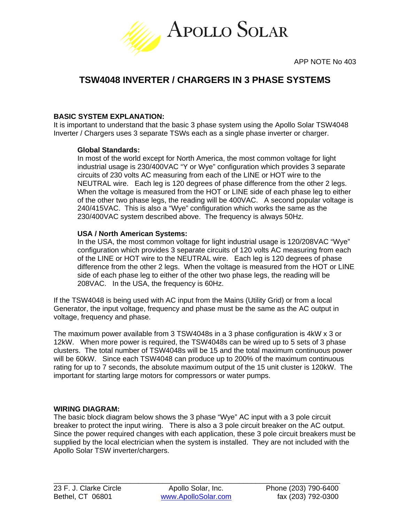

# **TSW4048 INVERTER / CHARGERS IN 3 PHASE SYSTEMS**

## **BASIC SYSTEM EXPLANATION:**

It is important to understand that the basic 3 phase system using the Apollo Solar TSW4048 Inverter / Chargers uses 3 separate TSWs each as a single phase inverter or charger.

## **Global Standards:**

In most of the world except for North America, the most common voltage for light industrial usage is 230/400VAC "Y or Wye" configuration which provides 3 separate circuits of 230 volts AC measuring from each of the LINE or HOT wire to the NEUTRAL wire. Each leg is 120 degrees of phase difference from the other 2 legs. When the voltage is measured from the HOT or LINE side of each phase leg to either of the other two phase legs, the reading will be 400VAC. A second popular voltage is 240/415VAC. This is also a "Wye" configuration which works the same as the 230/400VAC system described above. The frequency is always 50Hz.

### **USA / North American Systems:**

In the USA, the most common voltage for light industrial usage is 120/208VAC "Wye" configuration which provides 3 separate circuits of 120 volts AC measuring from each of the LINE or HOT wire to the NEUTRAL wire. Each leg is 120 degrees of phase difference from the other 2 legs. When the voltage is measured from the HOT or LINE side of each phase leg to either of the other two phase legs, the reading will be 208VAC. In the USA, the frequency is 60Hz.

If the TSW4048 is being used with AC input from the Mains (Utility Grid) or from a local Generator, the input voltage, frequency and phase must be the same as the AC output in voltage, frequency and phase.

The maximum power available from 3 TSW4048s in a 3 phase configuration is 4kW x 3 or 12kW. When more power is required, the TSW4048s can be wired up to 5 sets of 3 phase clusters. The total number of TSW4048s will be 15 and the total maximum continuous power will be 60kW. Since each TSW4048 can produce up to 200% of the maximum continuous rating for up to 7 seconds, the absolute maximum output of the 15 unit cluster is 120kW. The important for starting large motors for compressors or water pumps.

## **WIRING DIAGRAM:**

The basic block diagram below shows the 3 phase "Wye" AC input with a 3 pole circuit breaker to protect the input wiring. There is also a 3 pole circuit breaker on the AC output. Since the power required changes with each application, these 3 pole circuit breakers must be supplied by the local electrician when the system is installed. They are not included with the Apollo Solar TSW inverter/chargers.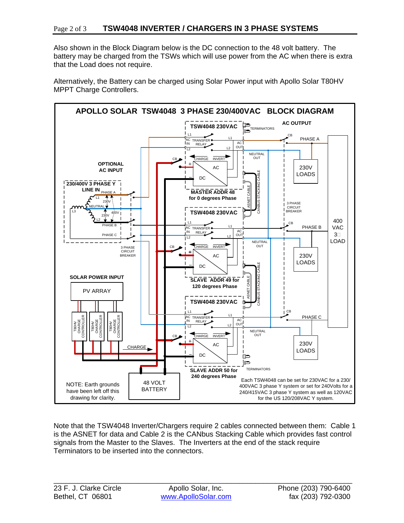Also shown in the Block Diagram below is the DC connection to the 48 volt battery. The battery may be charged from the TSWs which will use power from the AC when there is extra that the Load does not require.

Alternatively, the Battery can be charged using Solar Power input with Apollo Solar T80HV MPPT Charge Controllers.



Note that the TSW4048 Inverter/Chargers require 2 cables connected between them: Cable 1 is the ASNET for data and Cable 2 is the CANbus Stacking Cable which provides fast control signals from the Master to the Slaves. The Inverters at the end of the stack require Terminators to be inserted into the connectors.